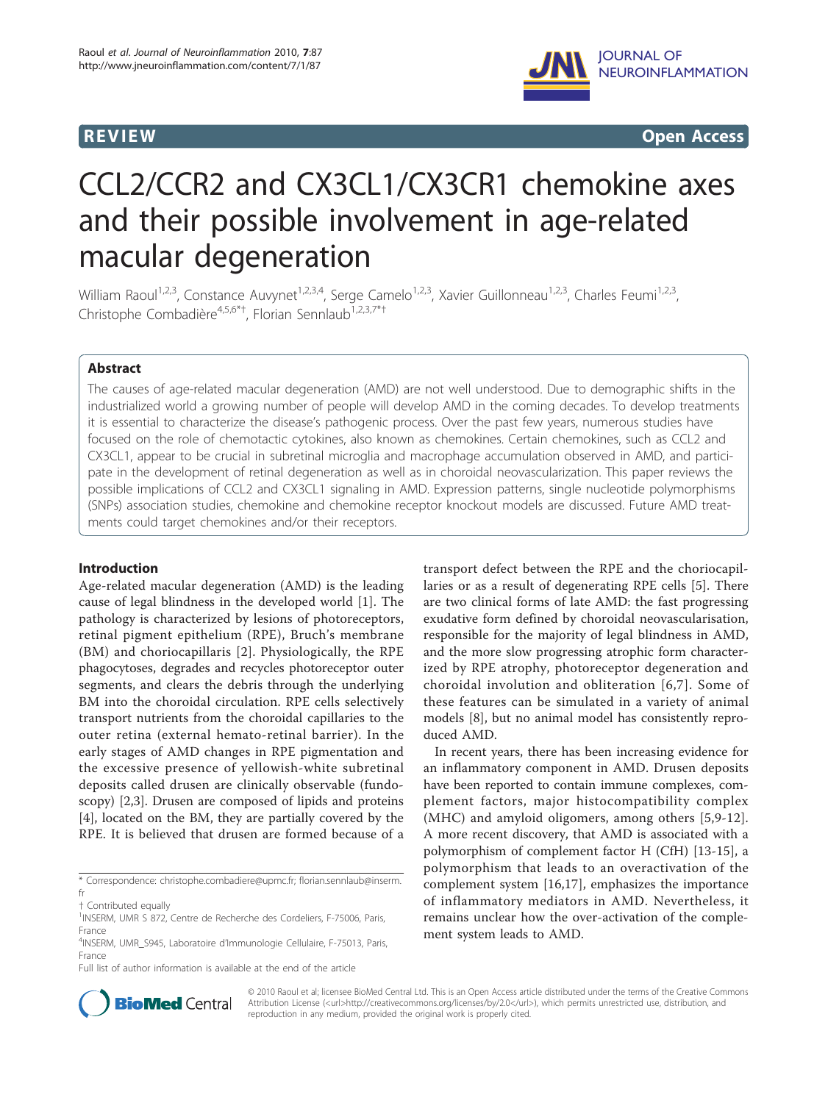

**REVIEW CONSIDERING CONSIDERING CONSIDERING CONSIDERING CONSIDERING CONSIDERING CONSIDERING CONSIDERING CONSIDERING CONSIDERING CONSIDERING CONSIDERING CONSIDERING CONSIDERING CONSIDERING CONSIDERING CONSIDERING CONSIDER** 

# CCL2/CCR2 and CX3CL1/CX3CR1 chemokine axes and their possible involvement in age-related macular degeneration

William Raoul<sup>1,2,3</sup>, Constance Auvynet<sup>1,2,3,4</sup>, Serge Camelo<sup>1,2,3</sup>, Xavier Guillonneau<sup>1,2,3</sup>, Charles Feumi<sup>1,2,3</sup>, Christophe Combadière<sup>4,5,6\*†</sup>, Florian Sennlaub<sup>1,2,3,7\*†</sup>

# Abstract

The causes of age-related macular degeneration (AMD) are not well understood. Due to demographic shifts in the industrialized world a growing number of people will develop AMD in the coming decades. To develop treatments it is essential to characterize the disease's pathogenic process. Over the past few years, numerous studies have focused on the role of chemotactic cytokines, also known as chemokines. Certain chemokines, such as CCL2 and CX3CL1, appear to be crucial in subretinal microglia and macrophage accumulation observed in AMD, and participate in the development of retinal degeneration as well as in choroidal neovascularization. This paper reviews the possible implications of CCL2 and CX3CL1 signaling in AMD. Expression patterns, single nucleotide polymorphisms (SNPs) association studies, chemokine and chemokine receptor knockout models are discussed. Future AMD treatments could target chemokines and/or their receptors.

#### Introduction

Age-related macular degeneration (AMD) is the leading cause of legal blindness in the developed world [[1](#page-4-0)]. The pathology is characterized by lesions of photoreceptors, retinal pigment epithelium (RPE), Bruch's membrane (BM) and choriocapillaris [\[2](#page-4-0)]. Physiologically, the RPE phagocytoses, degrades and recycles photoreceptor outer segments, and clears the debris through the underlying BM into the choroidal circulation. RPE cells selectively transport nutrients from the choroidal capillaries to the outer retina (external hemato-retinal barrier). In the early stages of AMD changes in RPE pigmentation and the excessive presence of yellowish-white subretinal deposits called drusen are clinically observable (fundoscopy) [\[2,3\]](#page-4-0). Drusen are composed of lipids and proteins [[4\]](#page-4-0), located on the BM, they are partially covered by the RPE. It is believed that drusen are formed because of a

Full list of author information is available at the end of the article

transport defect between the RPE and the choriocapillaries or as a result of degenerating RPE cells [\[5](#page-4-0)]. There are two clinical forms of late AMD: the fast progressing exudative form defined by choroidal neovascularisation, responsible for the majority of legal blindness in AMD, and the more slow progressing atrophic form characterized by RPE atrophy, photoreceptor degeneration and choroidal involution and obliteration [[6](#page-4-0),[7](#page-4-0)]. Some of these features can be simulated in a variety of animal models [\[8](#page-4-0)], but no animal model has consistently reproduced AMD.

In recent years, there has been increasing evidence for an inflammatory component in AMD. Drusen deposits have been reported to contain immune complexes, complement factors, major histocompatibility complex (MHC) and amyloid oligomers, among others [[5,9](#page-4-0)-[12](#page-4-0)]. A more recent discovery, that AMD is associated with a polymorphism of complement factor H (CfH) [[13-15](#page-4-0)], a polymorphism that leads to an overactivation of the complement system [\[16,17](#page-5-0)], emphasizes the importance of inflammatory mediators in AMD. Nevertheless, it remains unclear how the over-activation of the complement system leads to AMD.



© 2010 Raoul et al; licensee BioMed Central Ltd. This is an Open Access article distributed under the terms of the Creative Commons Attribution License (<url>http://creativecommons.org/licenses/by/2.0</url>), which permits unrestricted use, distribution, and reproduction in any medium, provided the original work is properly cited.

<sup>\*</sup> Correspondence: [christophe.combadiere@upmc.fr;](mailto:christophe.combadiere@upmc.fr) [florian.sennlaub@inserm.](mailto:florian.sennlaub@inserm.fr) [fr](mailto:florian.sennlaub@inserm.fr)

<sup>†</sup> Contributed equally <sup>1</sup>

<sup>&</sup>lt;sup>1</sup>INSERM, UMR S 872, Centre de Recherche des Cordeliers, F-75006, Paris, France

<sup>4</sup>INSERM, UMR\_S945, Laboratoire d'Immunologie Cellulaire, F-75013, Paris, France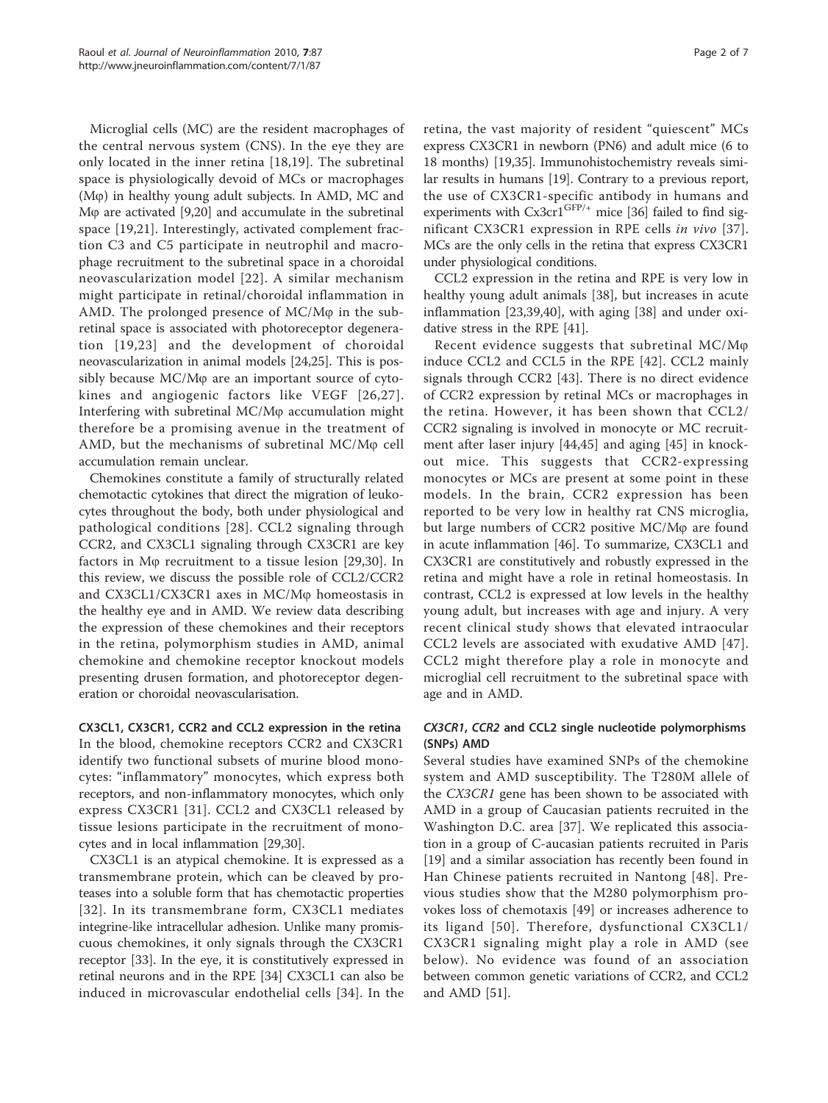Microglial cells (MC) are the resident macrophages of the central nervous system (CNS). In the eye they are only located in the inner retina [\[18](#page-5-0),[19\]](#page-5-0). The subretinal space is physiologically devoid of MCs or macrophages (Mo) in healthy young adult subjects. In AMD, MC and M $\varphi$  are activated [[9](#page-4-0),[20](#page-5-0)] and accumulate in the subretinal space [[19,21](#page-5-0)]. Interestingly, activated complement fraction C3 and C5 participate in neutrophil and macrophage recruitment to the subretinal space in a choroidal neovascularization model [[22\]](#page-5-0). A similar mechanism might participate in retinal/choroidal inflammation in AMD. The prolonged presence of  $MC/M\varphi$  in the subretinal space is associated with photoreceptor degeneration [[19,23](#page-5-0)] and the development of choroidal neovascularization in animal models [\[24,25\]](#page-5-0). This is possibly because  $MC/M\varphi$  are an important source of cytokines and angiogenic factors like VEGF [[26](#page-5-0),[27\]](#page-5-0). Interfering with subretinal  $MC/M\varphi$  accumulation might therefore be a promising avenue in the treatment of AMD, but the mechanisms of subretinal  $MC/M\varphi$  cell accumulation remain unclear.

Chemokines constitute a family of structurally related chemotactic cytokines that direct the migration of leukocytes throughout the body, both under physiological and pathological conditions [[28](#page-5-0)]. CCL2 signaling through CCR2, and CX3CL1 signaling through CX3CR1 are key factors in M $\varphi$  recruitment to a tissue lesion [\[29](#page-5-0),[30\]](#page-5-0). In this review, we discuss the possible role of CCL2/CCR2 and  $CX3CL1/CX3CR1$  axes in  $MC/M\varphi$  homeostasis in the healthy eye and in AMD. We review data describing the expression of these chemokines and their receptors in the retina, polymorphism studies in AMD, animal chemokine and chemokine receptor knockout models presenting drusen formation, and photoreceptor degeneration or choroidal neovascularisation.

CX3CL1, CX3CR1, CCR2 and CCL2 expression in the retina In the blood, chemokine receptors CCR2 and CX3CR1 identify two functional subsets of murine blood monocytes: "inflammatory" monocytes, which express both receptors, and non-inflammatory monocytes, which only express CX3CR1 [[31](#page-5-0)]. CCL2 and CX3CL1 released by tissue lesions participate in the recruitment of monocytes and in local inflammation [\[29,30](#page-5-0)].

CX3CL1 is an atypical chemokine. It is expressed as a transmembrane protein, which can be cleaved by proteases into a soluble form that has chemotactic properties [[32\]](#page-5-0). In its transmembrane form, CX3CL1 mediates integrine-like intracellular adhesion. Unlike many promiscuous chemokines, it only signals through the CX3CR1 receptor [\[33](#page-5-0)]. In the eye, it is constitutively expressed in retinal neurons and in the RPE [\[34](#page-5-0)] CX3CL1 can also be induced in microvascular endothelial cells [\[34](#page-5-0)]. In the retina, the vast majority of resident "quiescent" MCs express CX3CR1 in newborn (PN6) and adult mice (6 to 18 months) [\[19,35](#page-5-0)]. Immunohistochemistry reveals similar results in humans [[19](#page-5-0)]. Contrary to a previous report, the use of CX3CR1-specific antibody in humans and experiments with  $Cx3cr1^{GFP/+}$  mice [\[36\]](#page-5-0) failed to find significant CX3CR1 expression in RPE cells in vivo [[37](#page-5-0)]. MCs are the only cells in the retina that express CX3CR1 under physiological conditions.

CCL2 expression in the retina and RPE is very low in healthy young adult animals [[38\]](#page-5-0), but increases in acute inflammation [[23,39,40\]](#page-5-0), with aging [[38\]](#page-5-0) and under oxidative stress in the RPE [\[41](#page-5-0)].

Recent evidence suggests that subretinal  $MC/M\varphi$ induce CCL2 and CCL5 in the RPE [\[42\]](#page-5-0). CCL2 mainly signals through CCR2 [[43\]](#page-5-0). There is no direct evidence of CCR2 expression by retinal MCs or macrophages in the retina. However, it has been shown that CCL2/ CCR2 signaling is involved in monocyte or MC recruitment after laser injury [\[44](#page-5-0),[45\]](#page-5-0) and aging [[45\]](#page-5-0) in knockout mice. This suggests that CCR2-expressing monocytes or MCs are present at some point in these models. In the brain, CCR2 expression has been reported to be very low in healthy rat CNS microglia, but large numbers of CCR2 positive  $MC/M\varphi$  are found in acute inflammation [[46\]](#page-5-0). To summarize, CX3CL1 and CX3CR1 are constitutively and robustly expressed in the retina and might have a role in retinal homeostasis. In contrast, CCL2 is expressed at low levels in the healthy young adult, but increases with age and injury. A very recent clinical study shows that elevated intraocular CCL2 levels are associated with exudative AMD [[47](#page-5-0)]. CCL2 might therefore play a role in monocyte and microglial cell recruitment to the subretinal space with age and in AMD.

# CX3CR1, CCR2 and CCL2 single nucleotide polymorphisms (SNPs) AMD

Several studies have examined SNPs of the chemokine system and AMD susceptibility. The T280M allele of the CX3CR1 gene has been shown to be associated with AMD in a group of Caucasian patients recruited in the Washington D.C. area [\[37](#page-5-0)]. We replicated this association in a group of C-aucasian patients recruited in Paris [[19\]](#page-5-0) and a similar association has recently been found in Han Chinese patients recruited in Nantong [[48](#page-5-0)]. Previous studies show that the M280 polymorphism provokes loss of chemotaxis [[49\]](#page-5-0) or increases adherence to its ligand [[50\]](#page-5-0). Therefore, dysfunctional CX3CL1/ CX3CR1 signaling might play a role in AMD (see below). No evidence was found of an association between common genetic variations of CCR2, and CCL2 and AMD [\[51](#page-5-0)].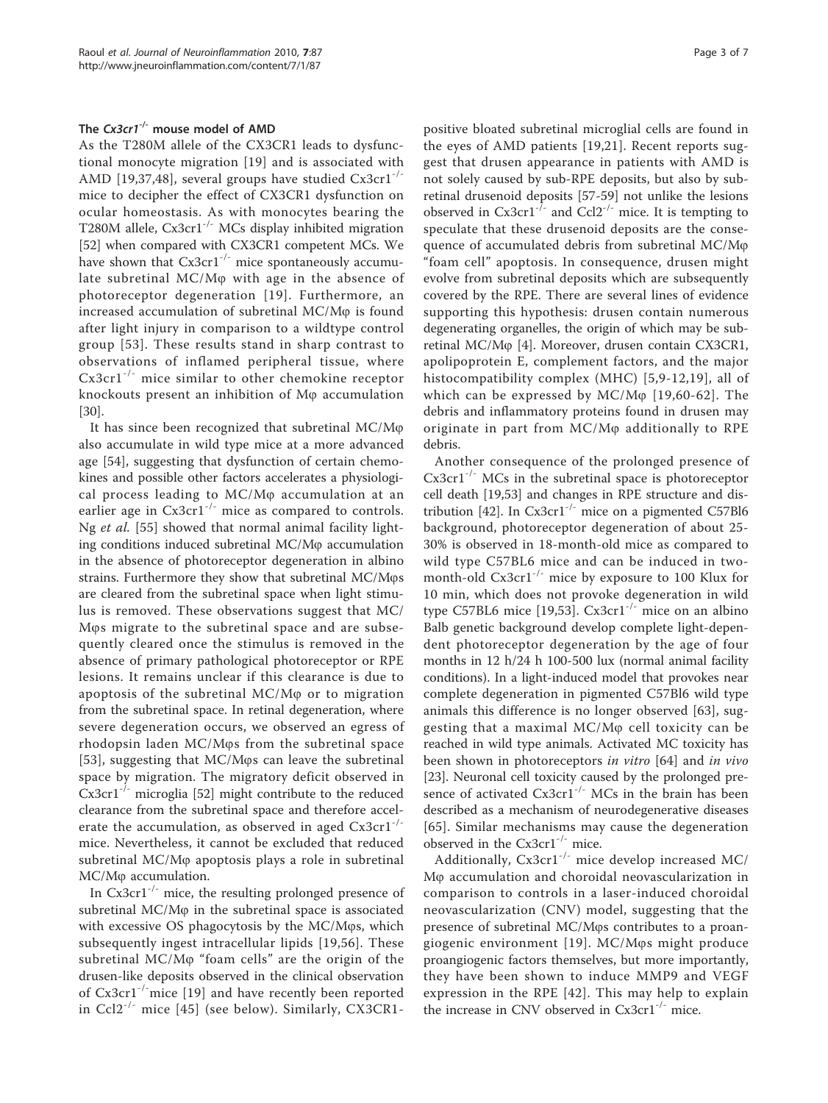# The  $Cx3cr1^{-/-}$  mouse model of AMD

As the T280M allele of the CX3CR1 leads to dysfunctional monocyte migration [[19\]](#page-5-0) and is associated with AMD [[19,37,48\]](#page-5-0), several groups have studied Cx3cr1<sup>-/-</sup> mice to decipher the effect of CX3CR1 dysfunction on ocular homeostasis. As with monocytes bearing the T280M allele, Cx3cr1<sup>-/-</sup> MCs display inhibited migration [[52\]](#page-5-0) when compared with CX3CR1 competent MCs. We have shown that  $Cx3cr1^{-/-}$  mice spontaneously accumulate subretinal  $MC/M\varphi$  with age in the absence of photoreceptor degeneration [[19\]](#page-5-0). Furthermore, an increased accumulation of subretinal  $MC/M\varphi$  is found after light injury in comparison to a wildtype control group [[53\]](#page-6-0). These results stand in sharp contrast to observations of inflamed peripheral tissue, where Cx3cr1-/- mice similar to other chemokine receptor knockouts present an inhibition of  $M\varphi$  accumulation [[30\]](#page-5-0).

It has since been recognized that subretinal  $MC/M\varphi$ also accumulate in wild type mice at a more advanced age [\[54](#page-6-0)], suggesting that dysfunction of certain chemokines and possible other factors accelerates a physiological process leading to  $MC/M\varphi$  accumulation at an earlier age in  $Cx3cr1^{-/-}$  mice as compared to controls. Ng et al. [[55\]](#page-6-0) showed that normal animal facility lighting conditions induced subretinal  $MC/M\varphi$  accumulation in the absence of photoreceptor degeneration in albino strains. Furthermore they show that subretinal MC/Mos are cleared from the subretinal space when light stimulus is removed. These observations suggest that MC/ Mos migrate to the subretinal space and are subsequently cleared once the stimulus is removed in the absence of primary pathological photoreceptor or RPE lesions. It remains unclear if this clearance is due to apoptosis of the subretinal  $MC/M\varphi$  or to migration from the subretinal space. In retinal degeneration, where severe degeneration occurs, we observed an egress of rhodopsin laden MC/Mos from the subretinal space [[53](#page-6-0)], suggesting that  $MC/M\varphi s$  can leave the subretinal space by migration. The migratory deficit observed in  $Cx3cr1^{-/-}$  microglia [[52](#page-5-0)] might contribute to the reduced clearance from the subretinal space and therefore accelerate the accumulation, as observed in aged  $Cx3cr1^{-/-}$ mice. Nevertheless, it cannot be excluded that reduced subretinal MC/M<sub>\p</sub> apoptosis plays a role in subretinal MC/M<sub>p</sub> accumulation.

In  $Cx3cr1^{-/-}$  mice, the resulting prolonged presence of subretinal MC/M<sub>(p</sub> in the subretinal space is associated with excessive  $OS$  phagocytosis by the  $MC/M\varphi s$ , which subsequently ingest intracellular lipids [\[19,](#page-5-0)[56\]](#page-6-0). These subretinal  $MC/M\varphi$  "foam cells" are the origin of the drusen-like deposits observed in the clinical observation of Cx3cr1-/-mice [[19\]](#page-5-0) and have recently been reported in Ccl2-/- mice [[45](#page-5-0)] (see below). Similarly, CX3CR1positive bloated subretinal microglial cells are found in the eyes of AMD patients [\[19,21](#page-5-0)]. Recent reports suggest that drusen appearance in patients with AMD is not solely caused by sub-RPE deposits, but also by subretinal drusenoid deposits [[57-59](#page-6-0)] not unlike the lesions observed in Cx3cr1<sup>- $\bar{l}$ - and Ccl2<sup>-/-</sup> mice. It is tempting to</sup> speculate that these drusenoid deposits are the consequence of accumulated debris from subretinal MC/M<sub>o</sub> "foam cell" apoptosis. In consequence, drusen might evolve from subretinal deposits which are subsequently covered by the RPE. There are several lines of evidence supporting this hypothesis: drusen contain numerous degenerating organelles, the origin of which may be sub-retinal MC/M<sub>(0</sub> [\[4](#page-4-0)]. Moreover, drusen contain CX3CR1, apolipoprotein E, complement factors, and the major histocompatibility complex (MHC) [[5,9](#page-4-0)-[12,](#page-4-0)[19\]](#page-5-0), all of which can be expressed by  $MC/M\varphi$  [[19,](#page-5-0)[60-62\]](#page-6-0). The debris and inflammatory proteins found in drusen may originate in part from MC/Mo additionally to RPE debris.

Another consequence of the prolonged presence of  $Cx3cr1^{-/-}$  MCs in the subretinal space is photoreceptor cell death [[19,](#page-5-0)[53\]](#page-6-0) and changes in RPE structure and dis-tribution [\[42\]](#page-5-0). In  $Cx3cr1^{-/-}$  mice on a pigmented C57Bl6 background, photoreceptor degeneration of about 25- 30% is observed in 18-month-old mice as compared to wild type C57BL6 mice and can be induced in twomonth-old  $Cx3cr1^{-/-}$  mice by exposure to 100 Klux for 10 min, which does not provoke degeneration in wild type C57BL6 mice [[19](#page-5-0)[,53](#page-6-0)].  $Cx3cr1^{-/-}$  mice on an albino Balb genetic background develop complete light-dependent photoreceptor degeneration by the age of four months in 12 h/24 h 100-500 lux (normal animal facility conditions). In a light-induced model that provokes near complete degeneration in pigmented C57Bl6 wild type animals this difference is no longer observed [[63\]](#page-6-0), suggesting that a maximal  $MC/M\varphi$  cell toxicity can be reached in wild type animals. Activated MC toxicity has been shown in photoreceptors in vitro [[64\]](#page-6-0) and in vivo [[23\]](#page-5-0). Neuronal cell toxicity caused by the prolonged presence of activated  $Cx3cr1^{-/-}$  MCs in the brain has been described as a mechanism of neurodegenerative diseases [[65](#page-6-0)]. Similar mechanisms may cause the degeneration observed in the  $Cx3cr1^{-/-}$  mice.

Additionally, Cx3cr1-/- mice develop increased MC/ Mo accumulation and choroidal neovascularization in comparison to controls in a laser-induced choroidal neovascularization (CNV) model, suggesting that the presence of subretinal MC/Mos contributes to a proan-giogenic environment [[19\]](#page-5-0). MC/Mos might produce proangiogenic factors themselves, but more importantly, they have been shown to induce MMP9 and VEGF expression in the RPE [[42](#page-5-0)]. This may help to explain the increase in CNV observed in  $Cx3cr1^{-/-}$  mice.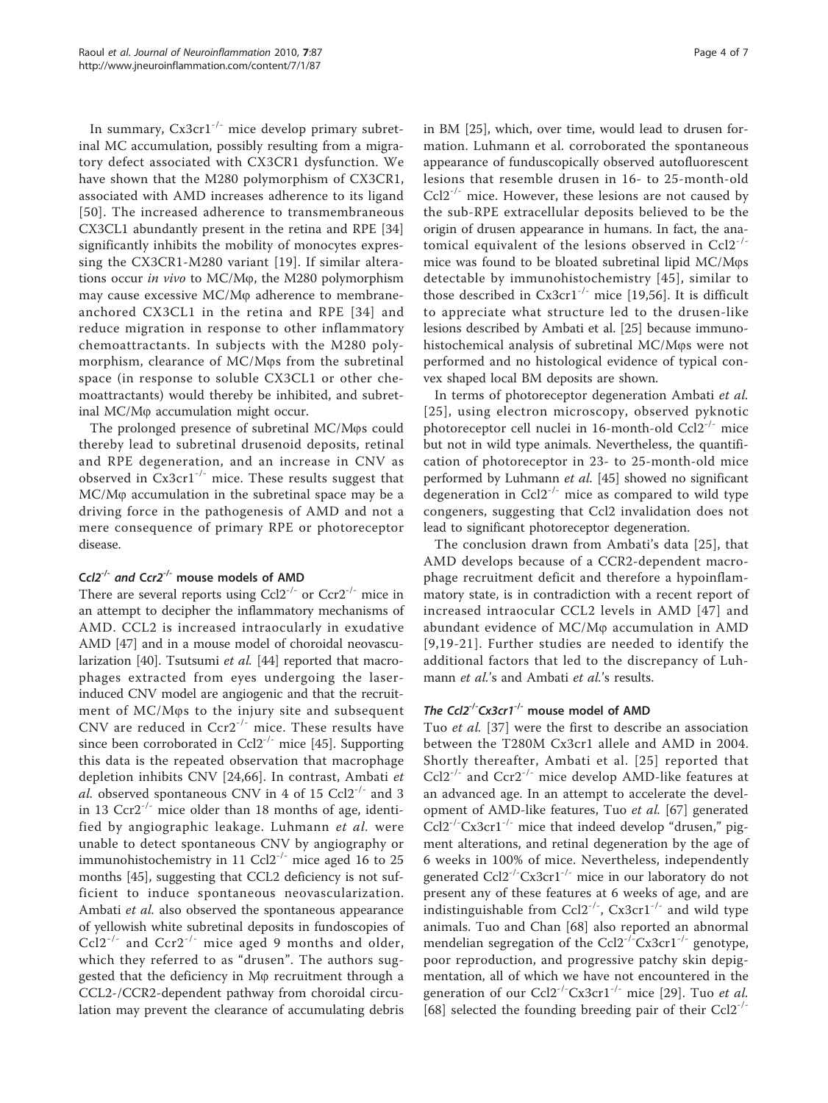In summary,  $Cx3cr1^{-/-}$  mice develop primary subretinal MC accumulation, possibly resulting from a migratory defect associated with CX3CR1 dysfunction. We have shown that the M280 polymorphism of CX3CR1, associated with AMD increases adherence to its ligand [[50\]](#page-5-0). The increased adherence to transmembraneous CX3CL1 abundantly present in the retina and RPE [\[34](#page-5-0)] significantly inhibits the mobility of monocytes expressing the CX3CR1-M280 variant [[19\]](#page-5-0). If similar alterations occur in vivo to MC/M $\varphi$ , the M280 polymorphism may cause excessive MC/M<sub>(p</sub> adherence to membraneanchored CX3CL1 in the retina and RPE [[34\]](#page-5-0) and reduce migration in response to other inflammatory chemoattractants. In subjects with the M280 polymorphism, clearance of  $MC/M\varphi s$  from the subretinal space (in response to soluble CX3CL1 or other chemoattractants) would thereby be inhibited, and subretinal  $MC/M\varphi$  accumulation might occur.

The prolonged presence of subretinal MC/Mos could thereby lead to subretinal drusenoid deposits, retinal and RPE degeneration, and an increase in CNV as observed in  $Cx3cr1^{-/-}$  mice. These results suggest that MC/M<sub>p</sub> accumulation in the subretinal space may be a driving force in the pathogenesis of AMD and not a mere consequence of primary RPE or photoreceptor disease.

# Ccl2<sup>-/-</sup> and Ccr2<sup>-/-</sup> mouse models of AMD

There are several reports using  $Ccl2^{-/-}$  or  $Ccr2^{-/-}$  mice in an attempt to decipher the inflammatory mechanisms of AMD. CCL2 is increased intraocularly in exudative AMD [\[47\]](#page-5-0) and in a mouse model of choroidal neovascu-larization [\[40\]](#page-5-0). Tsutsumi *et al.* [\[44\]](#page-5-0) reported that macrophages extracted from eyes undergoing the laserinduced CNV model are angiogenic and that the recruitment of MC/Mos to the injury site and subsequent CNV are reduced in Ccr2-/- mice. These results have since been corroborated in Ccl2<sup>-/-</sup> mice [[45\]](#page-5-0). Supporting this data is the repeated observation that macrophage depletion inhibits CNV [\[24,](#page-5-0)[66](#page-6-0)]. In contrast, Ambati et al. observed spontaneous CNV in 4 of 15 Ccl2<sup>-/-</sup> and 3 in 13  $Ccr2^{-1}$  mice older than 18 months of age, identified by angiographic leakage. Luhmann et al. were unable to detect spontaneous CNV by angiography or immunohistochemistry in 11 Ccl2<sup>-/-</sup> mice aged 16 to 25 months [\[45\]](#page-5-0), suggesting that CCL2 deficiency is not sufficient to induce spontaneous neovascularization. Ambati et al. also observed the spontaneous appearance of yellowish white subretinal deposits in fundoscopies of  $Ccl2^{-1}$  and  $Ccr2^{-1}$  mice aged 9 months and older, which they referred to as "drusen". The authors suggested that the deficiency in M<sub>\pereruitment</sub> through a CCL2-/CCR2-dependent pathway from choroidal circulation may prevent the clearance of accumulating debris in BM [[25\]](#page-5-0), which, over time, would lead to drusen formation. Luhmann et al. corroborated the spontaneous appearance of funduscopically observed autofluorescent lesions that resemble drusen in 16- to 25-month-old  $Ccl2^{-1}$  mice. However, these lesions are not caused by the sub-RPE extracellular deposits believed to be the origin of drusen appearance in humans. In fact, the anatomical equivalent of the lesions observed in Ccl2-/ mice was found to be bloated subretinal lipid MC/Mos detectable by immunohistochemistry [[45](#page-5-0)], similar to those described in  $Cx3cr1^{-/-}$  mice [\[19](#page-5-0),[56\]](#page-6-0). It is difficult to appreciate what structure led to the drusen-like lesions described by Ambati et al. [\[25](#page-5-0)] because immunohistochemical analysis of subretinal MC/Mos were not performed and no histological evidence of typical convex shaped local BM deposits are shown.

In terms of photoreceptor degeneration Ambati et al. [[25](#page-5-0)], using electron microscopy, observed pyknotic photoreceptor cell nuclei in 16-month-old Ccl2-/- mice but not in wild type animals. Nevertheless, the quantification of photoreceptor in 23- to 25-month-old mice performed by Luhmann et al. [\[45\]](#page-5-0) showed no significant degeneration in  $Col2^{-/-}$  mice as compared to wild type congeners, suggesting that Ccl2 invalidation does not lead to significant photoreceptor degeneration.

The conclusion drawn from Ambati's data [[25\]](#page-5-0), that AMD develops because of a CCR2-dependent macrophage recruitment deficit and therefore a hypoinflammatory state, is in contradiction with a recent report of increased intraocular CCL2 levels in AMD [[47](#page-5-0)] and abundant evidence of  $MC/M\varphi$  accumulation in AMD [[9,](#page-4-0)[19-21](#page-5-0)]. Further studies are needed to identify the additional factors that led to the discrepancy of Luhmann et al.'s and Ambati et al.'s results.

# The Ccl2<sup>-/-</sup>Cx3cr1<sup>-/-</sup> mouse model of AMD

Tuo et al. [\[37](#page-5-0)] were the first to describe an association between the T280M Cx3cr1 allele and AMD in 2004. Shortly thereafter, Ambati et al. [[25\]](#page-5-0) reported that  $Ccl2^{-/-}$  and  $Ccr2^{-/-}$  mice develop AMD-like features at an advanced age. In an attempt to accelerate the development of AMD-like features, Tuo et al. [[67\]](#page-6-0) generated  $Ccl2^{-1}$ <sup>-</sup> $Cx3cr1^{-1}$  mice that indeed develop "drusen," pigment alterations, and retinal degeneration by the age of 6 weeks in 100% of mice. Nevertheless, independently generated Ccl2<sup>-/-</sup>Cx3cr1<sup>-/-</sup> mice in our laboratory do not present any of these features at 6 weeks of age, and are indistinguishable from  $Ccl2^{-/-}$ ,  $Cx3cr1^{-/-}$  and wild type animals. Tuo and Chan [\[68](#page-6-0)] also reported an abnormal mendelian segregation of the  $Ccl2^{-/-}Cx3cr1^{-/-}$  genotype, poor reproduction, and progressive patchy skin depigmentation, all of which we have not encountered in the generation of our  $\text{Col2}^{-/-} \text{Cx3} \text{cr1}^{-/-}$  mice [[29\]](#page-5-0). Tuo et al. [[68\]](#page-6-0) selected the founding breeding pair of their  $Ccl2^{-1}$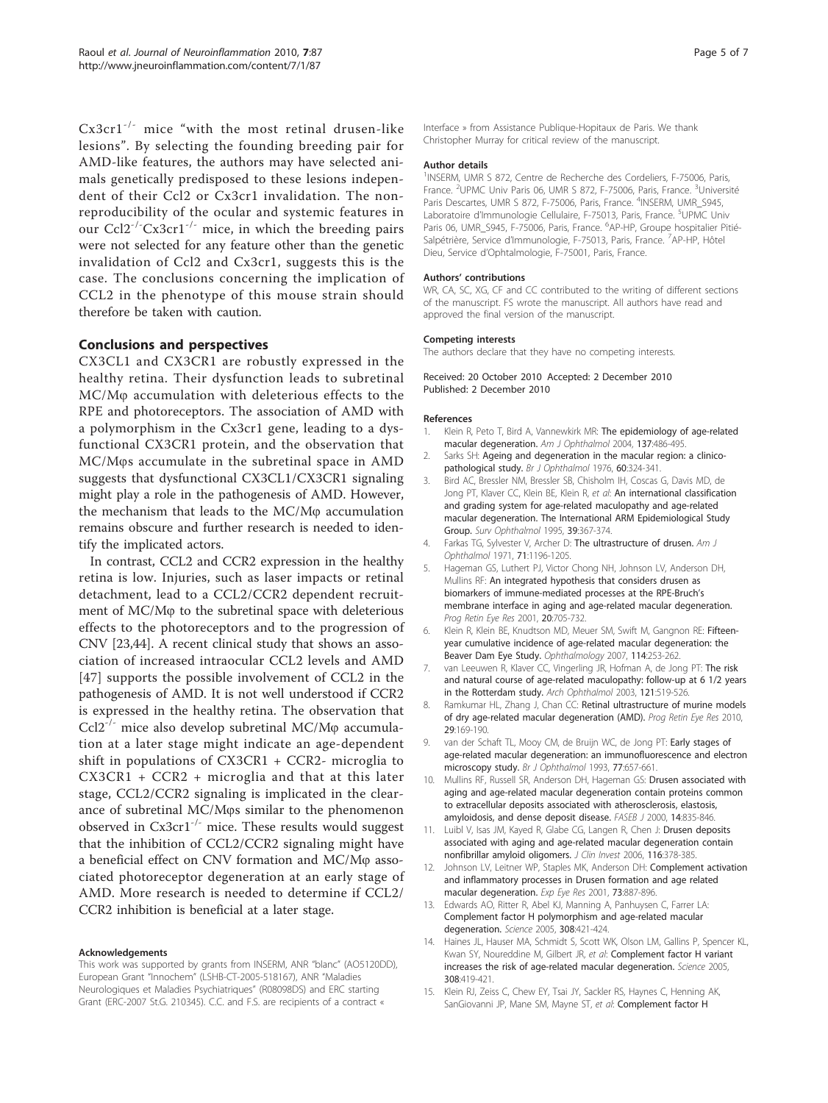<span id="page-4-0"></span>Cx3cr1-/- mice "with the most retinal drusen-like lesions". By selecting the founding breeding pair for AMD-like features, the authors may have selected animals genetically predisposed to these lesions independent of their Ccl2 or Cx3cr1 invalidation. The nonreproducibility of the ocular and systemic features in our  $Ccl2^{-1}$ <sup>-</sup> $Cx3cr1^{-1}$  mice, in which the breeding pairs were not selected for any feature other than the genetic invalidation of Ccl2 and Cx3cr1, suggests this is the case. The conclusions concerning the implication of CCL2 in the phenotype of this mouse strain should therefore be taken with caution.

## Conclusions and perspectives

CX3CL1 and CX3CR1 are robustly expressed in the healthy retina. Their dysfunction leads to subretinal MC/M<sub>\p</sub> accumulation with deleterious effects to the RPE and photoreceptors. The association of AMD with a polymorphism in the Cx3cr1 gene, leading to a dysfunctional CX3CR1 protein, and the observation that MC/M $\varphi$ s accumulate in the subretinal space in AMD suggests that dysfunctional CX3CL1/CX3CR1 signaling might play a role in the pathogenesis of AMD. However, the mechanism that leads to the  $MC/M\varphi$  accumulation remains obscure and further research is needed to identify the implicated actors.

In contrast, CCL2 and CCR2 expression in the healthy retina is low. Injuries, such as laser impacts or retinal detachment, lead to a CCL2/CCR2 dependent recruitment of MC/M<sub>\p</sub> to the subretinal space with deleterious effects to the photoreceptors and to the progression of CNV [[23,44\]](#page-5-0). A recent clinical study that shows an association of increased intraocular CCL2 levels and AMD [[47](#page-5-0)] supports the possible involvement of CCL2 in the pathogenesis of AMD. It is not well understood if CCR2 is expressed in the healthy retina. The observation that Ccl2<sup>-/-</sup> mice also develop subretinal MC/M $\varphi$  accumulation at a later stage might indicate an age-dependent shift in populations of CX3CR1 + CCR2- microglia to CX3CR1 + CCR2 + microglia and that at this later stage, CCL2/CCR2 signaling is implicated in the clearance of subretinal MC/Mos similar to the phenomenon observed in  $Cx3cr1^{-/-}$  mice. These results would suggest that the inhibition of CCL2/CCR2 signaling might have a beneficial effect on CNV formation and MC/M<sub>p</sub> associated photoreceptor degeneration at an early stage of AMD. More research is needed to determine if CCL2/ CCR2 inhibition is beneficial at a later stage.

#### Acknowledgements

This work was supported by grants from INSERM, ANR "blanc" (AO5120DD), European Grant "Innochem" (LSHB-CT-2005-518167), ANR "Maladies Neurologiques et Maladies Psychiatriques" (R08098DS) and ERC starting Grant (ERC-2007 St.G. 210345). C.C. and F.S. are recipients of a contract «

Interface » from Assistance Publique-Hopitaux de Paris. We thank Christopher Murray for critical review of the manuscript.

#### Author details

<sup>1</sup>INSERM, UMR S 872, Centre de Recherche des Cordeliers, F-75006, Paris, France. <sup>2</sup>UPMC Univ Paris 06, UMR S 872, F-75006, Paris, France. <sup>3</sup>Université Paris Descartes, UMR S 872, F-75006, Paris, France. <sup>4</sup>INSERM, UMR\_S945, Laboratoire d'Immunologie Cellulaire, F-75013, Paris, France. <sup>5</sup>UPMC Univ Paris 06, UMR\_S945, F-75006, Paris, France. <sup>6</sup>AP-HP, Groupe hospitalier Pitié-Salpétrière, Service d'Immunologie, F-75013, Paris, France. 7AP-HP, Hôtel Dieu, Service d'Ophtalmologie, F-75001, Paris, France.

#### Authors' contributions

WR, CA, SC, XG, CF and CC contributed to the writing of different sections of the manuscript. FS wrote the manuscript. All authors have read and approved the final version of the manuscript.

#### Competing interests

The authors declare that they have no competing interests.

Received: 20 October 2010 Accepted: 2 December 2010 Published: 2 December 2010

#### References

- 1. Klein R, Peto T, Bird A, Vannewkirk MR: [The epidemiology of age-related](http://www.ncbi.nlm.nih.gov/pubmed/15013873?dopt=Abstract) [macular degeneration.](http://www.ncbi.nlm.nih.gov/pubmed/15013873?dopt=Abstract) Am J Ophthalmol 2004, 137:486-495.
- 2. Sarks SH: [Ageing and degeneration in the macular region: a clinico](http://www.ncbi.nlm.nih.gov/pubmed/952802?dopt=Abstract)[pathological study.](http://www.ncbi.nlm.nih.gov/pubmed/952802?dopt=Abstract) Br J Ophthalmol 1976, 60:324-341.
- 3. Bird AC, Bressler NM, Bressler SB, Chisholm IH, Coscas G, Davis MD, de Jong PT, Klaver CC, Klein BE, Klein R, et al: [An international classification](http://www.ncbi.nlm.nih.gov/pubmed/7604360?dopt=Abstract) [and grading system for age-related maculopathy and age-related](http://www.ncbi.nlm.nih.gov/pubmed/7604360?dopt=Abstract) [macular degeneration. The International ARM Epidemiological Study](http://www.ncbi.nlm.nih.gov/pubmed/7604360?dopt=Abstract) [Group.](http://www.ncbi.nlm.nih.gov/pubmed/7604360?dopt=Abstract) Surv Ophthalmol 1995, 39:367-374.
- 4. Farkas TG, Sylvester V, Archer D: [The ultrastructure of drusen.](http://www.ncbi.nlm.nih.gov/pubmed/5091118?dopt=Abstract) Am J Ophthalmol 1971, 71:1196-1205.
- 5. Hageman GS, Luthert PJ, Victor Chong NH, Johnson LV, Anderson DH, Mullins RF: [An integrated hypothesis that considers drusen as](http://www.ncbi.nlm.nih.gov/pubmed/11587915?dopt=Abstract) [biomarkers of immune-mediated processes at the RPE-Bruch](http://www.ncbi.nlm.nih.gov/pubmed/11587915?dopt=Abstract)'s [membrane interface in aging and age-related macular degeneration.](http://www.ncbi.nlm.nih.gov/pubmed/11587915?dopt=Abstract) Prog Retin Eye Res 2001, 20:705-732.
- 6. Klein R, Klein BE, Knudtson MD, Meuer SM, Swift M, Gangnon RE: [Fifteen](http://www.ncbi.nlm.nih.gov/pubmed/17270675?dopt=Abstract)[year cumulative incidence of age-related macular degeneration: the](http://www.ncbi.nlm.nih.gov/pubmed/17270675?dopt=Abstract) [Beaver Dam Eye Study.](http://www.ncbi.nlm.nih.gov/pubmed/17270675?dopt=Abstract) Ophthalmology 2007, 114:253-262.
- 7. van Leeuwen R, Klaver CC, Vingerling JR, Hofman A, de Jong PT: [The risk](http://www.ncbi.nlm.nih.gov/pubmed/12695249?dopt=Abstract) [and natural course of age-related maculopathy: follow-up at 6 1/2 years](http://www.ncbi.nlm.nih.gov/pubmed/12695249?dopt=Abstract) [in the Rotterdam study.](http://www.ncbi.nlm.nih.gov/pubmed/12695249?dopt=Abstract) Arch Ophthalmol 2003, 121:519-526.
- 8. Ramkumar HL, Zhang J, Chan CC: [Retinal ultrastructure of murine models](http://www.ncbi.nlm.nih.gov/pubmed/20206286?dopt=Abstract) [of dry age-related macular degeneration \(AMD\).](http://www.ncbi.nlm.nih.gov/pubmed/20206286?dopt=Abstract) Prog Retin Eye Res 2010, 29:169-190.
- 9. van der Schaft TL, Mooy CM, de Bruijn WC, de Jong PT: [Early stages of](http://www.ncbi.nlm.nih.gov/pubmed/8218037?dopt=Abstract) [age-related macular degeneration: an immunofluorescence and electron](http://www.ncbi.nlm.nih.gov/pubmed/8218037?dopt=Abstract) [microscopy study.](http://www.ncbi.nlm.nih.gov/pubmed/8218037?dopt=Abstract) Br J Ophthalmol 1993, 77:657-661.
- 10. Mullins RF, Russell SR, Anderson DH, Hageman GS: [Drusen associated with](http://www.ncbi.nlm.nih.gov/pubmed/10783137?dopt=Abstract) [aging and age-related macular degeneration contain proteins common](http://www.ncbi.nlm.nih.gov/pubmed/10783137?dopt=Abstract) [to extracellular deposits associated with atherosclerosis, elastosis,](http://www.ncbi.nlm.nih.gov/pubmed/10783137?dopt=Abstract) [amyloidosis, and dense deposit disease.](http://www.ncbi.nlm.nih.gov/pubmed/10783137?dopt=Abstract) FASEB J 2000, 14:835-846.
- 11. Luibl V, Isas JM, Kayed R, Glabe CG, Langen R, Chen J: [Drusen deposits](http://www.ncbi.nlm.nih.gov/pubmed/16453022?dopt=Abstract) [associated with aging and age-related macular degeneration contain](http://www.ncbi.nlm.nih.gov/pubmed/16453022?dopt=Abstract) [nonfibrillar amyloid oligomers.](http://www.ncbi.nlm.nih.gov/pubmed/16453022?dopt=Abstract) J Clin Invest 2006, 116:378-385.
- 12. Johnson LV, Leitner WP, Staples MK, Anderson DH: [Complement activation](http://www.ncbi.nlm.nih.gov/pubmed/11846519?dopt=Abstract) [and inflammatory processes in Drusen formation and age related](http://www.ncbi.nlm.nih.gov/pubmed/11846519?dopt=Abstract) [macular degeneration.](http://www.ncbi.nlm.nih.gov/pubmed/11846519?dopt=Abstract) Exp Eye Res 2001, 73:887-896.
- 13. Edwards AO, Ritter R, Abel KJ, Manning A, Panhuysen C, Farrer LA: [Complement factor H polymorphism and age-related macular](http://www.ncbi.nlm.nih.gov/pubmed/15761121?dopt=Abstract) [degeneration.](http://www.ncbi.nlm.nih.gov/pubmed/15761121?dopt=Abstract) Science 2005, 308:421-424.
- 14. Haines JL, Hauser MA, Schmidt S, Scott WK, Olson LM, Gallins P, Spencer KL, Kwan SY, Noureddine M, Gilbert JR, et al: [Complement factor H variant](http://www.ncbi.nlm.nih.gov/pubmed/15761120?dopt=Abstract) [increases the risk of age-related macular degeneration.](http://www.ncbi.nlm.nih.gov/pubmed/15761120?dopt=Abstract) Science 2005, 308:419-421.
- 15. Klein RJ, Zeiss C, Chew EY, Tsai JY, Sackler RS, Haynes C, Henning AK, SanGiovanni JP, Mane SM, Mayne ST, et al: [Complement factor H](http://www.ncbi.nlm.nih.gov/pubmed/15761122?dopt=Abstract)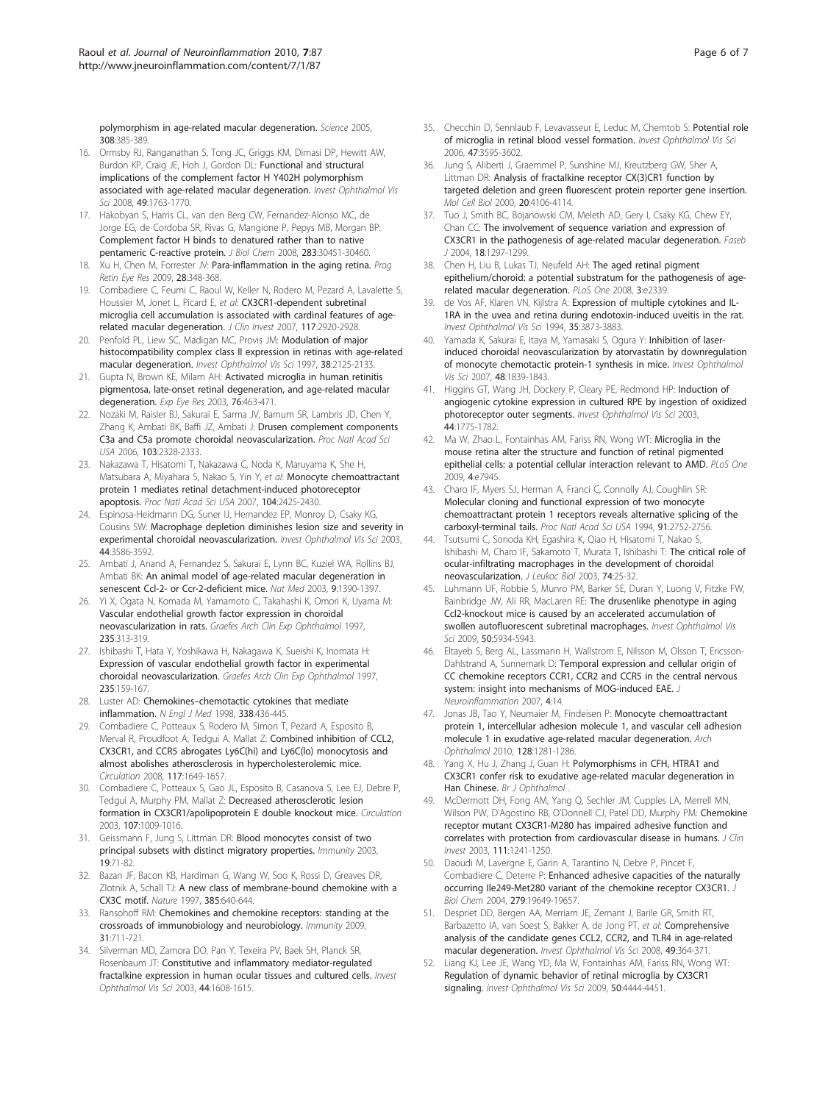<span id="page-5-0"></span>[polymorphism in age-related macular degeneration.](http://www.ncbi.nlm.nih.gov/pubmed/15761122?dopt=Abstract) Science 2005, 308:385-389.

- 16. Ormsby RJ, Ranganathan S, Tong JC, Griggs KM, Dimasi DP, Hewitt AW, Burdon KP, Craig JE, Hoh J, Gordon DL: [Functional and structural](http://www.ncbi.nlm.nih.gov/pubmed/18263814?dopt=Abstract) [implications of the complement factor H Y402H polymorphism](http://www.ncbi.nlm.nih.gov/pubmed/18263814?dopt=Abstract) [associated with age-related macular degeneration.](http://www.ncbi.nlm.nih.gov/pubmed/18263814?dopt=Abstract) Invest Ophthalmol Vis Sci 2008, 49:1763-1770.
- 17. Hakobyan S, Harris CL, van den Berg CW, Fernandez-Alonso MC, de Jorge EG, de Cordoba SR, Rivas G, Mangione P, Pepys MB, Morgan BP: [Complement factor H binds to denatured rather than to native](http://www.ncbi.nlm.nih.gov/pubmed/18786923?dopt=Abstract) [pentameric C-reactive protein.](http://www.ncbi.nlm.nih.gov/pubmed/18786923?dopt=Abstract) J Biol Chem 2008, 283:30451-30460.
- 18. Xu H, Chen M, Forrester JV: [Para-inflammation in the aging retina.](http://www.ncbi.nlm.nih.gov/pubmed/19560552?dopt=Abstract) Prog Retin Eye Res 2009, 28:348-368.
- 19. Combadiere C, Feumi C, Raoul W, Keller N, Rodero M, Pezard A, Lavalette S, Houssier M, Jonet L, Picard E, et al: [CX3CR1-dependent subretinal](http://www.ncbi.nlm.nih.gov/pubmed/17909628?dopt=Abstract) [microglia cell accumulation is associated with cardinal features of age](http://www.ncbi.nlm.nih.gov/pubmed/17909628?dopt=Abstract)[related macular degeneration.](http://www.ncbi.nlm.nih.gov/pubmed/17909628?dopt=Abstract) J Clin Invest 2007, 117:2920-2928.
- 20. Penfold PL, Liew SC, Madigan MC, Provis JM: [Modulation of major](http://www.ncbi.nlm.nih.gov/pubmed/9331276?dopt=Abstract) [histocompatibility complex class II expression in retinas with age-related](http://www.ncbi.nlm.nih.gov/pubmed/9331276?dopt=Abstract) [macular degeneration.](http://www.ncbi.nlm.nih.gov/pubmed/9331276?dopt=Abstract) Invest Ophthalmol Vis Sci 1997, 38:2125-2133.
- 21. Gupta N, Brown KE, Milam AH: [Activated microglia in human retinitis](http://www.ncbi.nlm.nih.gov/pubmed/12634111?dopt=Abstract) [pigmentosa, late-onset retinal degeneration, and age-related macular](http://www.ncbi.nlm.nih.gov/pubmed/12634111?dopt=Abstract) [degeneration.](http://www.ncbi.nlm.nih.gov/pubmed/12634111?dopt=Abstract) Exp Eye Res 2003, 76:463-471.
- 22. Nozaki M, Raisler BJ, Sakurai E, Sarma JV, Barnum SR, Lambris JD, Chen Y, Zhang K, Ambati BK, Baffi JZ, Ambati J: [Drusen complement components](http://www.ncbi.nlm.nih.gov/pubmed/16452172?dopt=Abstract) [C3a and C5a promote choroidal neovascularization.](http://www.ncbi.nlm.nih.gov/pubmed/16452172?dopt=Abstract) Proc Natl Acad Sci USA 2006, 103:2328-2333.
- 23. Nakazawa T, Hisatomi T, Nakazawa C, Noda K, Maruyama K, She H, Matsubara A, Miyahara S, Nakao S, Yin Y, et al: [Monocyte chemoattractant](http://www.ncbi.nlm.nih.gov/pubmed/17284607?dopt=Abstract) [protein 1 mediates retinal detachment-induced photoreceptor](http://www.ncbi.nlm.nih.gov/pubmed/17284607?dopt=Abstract) [apoptosis.](http://www.ncbi.nlm.nih.gov/pubmed/17284607?dopt=Abstract) Proc Natl Acad Sci USA 2007, 104:2425-2430.
- 24. Espinosa-Heidmann DG, Suner IJ, Hernandez EP, Monroy D, Csaky KG, Cousins SW: [Macrophage depletion diminishes lesion size and severity in](http://www.ncbi.nlm.nih.gov/pubmed/12882811?dopt=Abstract) [experimental choroidal neovascularization.](http://www.ncbi.nlm.nih.gov/pubmed/12882811?dopt=Abstract) Invest Ophthalmol Vis Sci 2003, 44:3586-3592.
- 25. Ambati J, Anand A, Fernandez S, Sakurai E, Lynn BC, Kuziel WA, Rollins BJ, Ambati BK: [An animal model of age-related macular degeneration in](http://www.ncbi.nlm.nih.gov/pubmed/14566334?dopt=Abstract) [senescent Ccl-2- or Ccr-2-deficient mice.](http://www.ncbi.nlm.nih.gov/pubmed/14566334?dopt=Abstract) Nat Med 2003, 9:1390-1397.
- 26. Yi X, Ogata N, Komada M, Yamamoto C, Takahashi K, Omori K, Uyama M: [Vascular endothelial growth factor expression in choroidal](http://www.ncbi.nlm.nih.gov/pubmed/9176680?dopt=Abstract) [neovascularization in rats.](http://www.ncbi.nlm.nih.gov/pubmed/9176680?dopt=Abstract) Graefes Arch Clin Exp Ophthalmol 1997, 235:313-319.
- 27. Ishibashi T, Hata Y, Yoshikawa H, Nakagawa K, Sueishi K, Inomata H: [Expression of vascular endothelial growth factor in experimental](http://www.ncbi.nlm.nih.gov/pubmed/9085111?dopt=Abstract) [choroidal neovascularization.](http://www.ncbi.nlm.nih.gov/pubmed/9085111?dopt=Abstract) Graefes Arch Clin Exp Ophthalmol 1997, 235:159-167.
- 28. Luster AD: Chemokines–[chemotactic cytokines that mediate](http://www.ncbi.nlm.nih.gov/pubmed/9459648?dopt=Abstract) [inflammation.](http://www.ncbi.nlm.nih.gov/pubmed/9459648?dopt=Abstract) N Engl J Med 1998, 338:436-445.
- 29. Combadiere C, Potteaux S, Rodero M, Simon T, Pezard A, Esposito B, Merval R, Proudfoot A, Tedgui A, Mallat Z: [Combined inhibition of CCL2,](http://www.ncbi.nlm.nih.gov/pubmed/18347211?dopt=Abstract) [CX3CR1, and CCR5 abrogates Ly6C\(hi\) and Ly6C\(lo\) monocytosis and](http://www.ncbi.nlm.nih.gov/pubmed/18347211?dopt=Abstract) [almost abolishes atherosclerosis in hypercholesterolemic mice.](http://www.ncbi.nlm.nih.gov/pubmed/18347211?dopt=Abstract) Circulation 2008, 117:1649-1657.
- 30. Combadiere C, Potteaux S, Gao JL, Esposito B, Casanova S, Lee EJ, Debre P, Tedgui A, Murphy PM, Mallat Z: [Decreased atherosclerotic lesion](http://www.ncbi.nlm.nih.gov/pubmed/12600915?dopt=Abstract) [formation in CX3CR1/apolipoprotein E double knockout mice.](http://www.ncbi.nlm.nih.gov/pubmed/12600915?dopt=Abstract) Circulation 2003, 107:1009-1016.
- 31. Geissmann F, Jung S, Littman DR: [Blood monocytes consist of two](http://www.ncbi.nlm.nih.gov/pubmed/12871640?dopt=Abstract) [principal subsets with distinct migratory properties.](http://www.ncbi.nlm.nih.gov/pubmed/12871640?dopt=Abstract) Immunity 2003, 19:71-82.
- 32. Bazan JF, Bacon KB, Hardiman G, Wang W, Soo K, Rossi D, Greaves DR, Zlotnik A, Schall TJ: [A new class of membrane-bound chemokine with a](http://www.ncbi.nlm.nih.gov/pubmed/9024663?dopt=Abstract) [CX3C motif.](http://www.ncbi.nlm.nih.gov/pubmed/9024663?dopt=Abstract) Nature 1997, 385:640-644.
- 33. Ransohoff RM: [Chemokines and chemokine receptors: standing at the](http://www.ncbi.nlm.nih.gov/pubmed/19836265?dopt=Abstract) [crossroads of immunobiology and neurobiology.](http://www.ncbi.nlm.nih.gov/pubmed/19836265?dopt=Abstract) Immunity 2009, 31:711-721.
- 34. Silverman MD, Zamora DO, Pan Y, Texeira PV, Baek SH, Planck SR, Rosenbaum JT: [Constitutive and inflammatory mediator-regulated](http://www.ncbi.nlm.nih.gov/pubmed/12657599?dopt=Abstract) [fractalkine expression in human ocular tissues and cultured cells.](http://www.ncbi.nlm.nih.gov/pubmed/12657599?dopt=Abstract) Invest Ophthalmol Vis Sci 2003, 44:1608-1615.
- 35. Checchin D, Sennlaub F, Levavasseur E, Leduc M, Chemtob S: [Potential role](http://www.ncbi.nlm.nih.gov/pubmed/16877434?dopt=Abstract) [of microglia in retinal blood vessel formation.](http://www.ncbi.nlm.nih.gov/pubmed/16877434?dopt=Abstract) Invest Ophthalmol Vis Sci 2006, 47:3595-3602.
- 36. Jung S, Aliberti J, Graemmel P, Sunshine MJ, Kreutzberg GW, Sher A, Littman DR: [Analysis of fractalkine receptor CX\(3\)CR1 function by](http://www.ncbi.nlm.nih.gov/pubmed/10805752?dopt=Abstract) [targeted deletion and green fluorescent protein reporter gene insertion.](http://www.ncbi.nlm.nih.gov/pubmed/10805752?dopt=Abstract) Mol Cell Biol 2000, 20:4106-4114.
- 37. Tuo J, Smith BC, Bojanowski CM, Meleth AD, Gery I, Csaky KG, Chew EY, Chan CC: [The involvement of sequence variation and expression of](http://www.ncbi.nlm.nih.gov/pubmed/15208270?dopt=Abstract) [CX3CR1 in the pathogenesis of age-related macular degeneration.](http://www.ncbi.nlm.nih.gov/pubmed/15208270?dopt=Abstract) Faseb J 2004, 18:1297-1299.
- 38. Chen H, Liu B, Lukas TJ, Neufeld AH: [The aged retinal pigment](http://www.ncbi.nlm.nih.gov/pubmed/18523633?dopt=Abstract) [epithelium/choroid: a potential substratum for the pathogenesis of age](http://www.ncbi.nlm.nih.gov/pubmed/18523633?dopt=Abstract)[related macular degeneration.](http://www.ncbi.nlm.nih.gov/pubmed/18523633?dopt=Abstract) PLoS One 2008, 3:e2339.
- 39. de Vos AF, Klaren VN, Kijlstra A: [Expression of multiple cytokines and IL-](http://www.ncbi.nlm.nih.gov/pubmed/7928184?dopt=Abstract)[1RA in the uvea and retina during endotoxin-induced uveitis in the rat.](http://www.ncbi.nlm.nih.gov/pubmed/7928184?dopt=Abstract) Invest Ophthalmol Vis Sci 1994, 35:3873-3883.
- 40. Yamada K, Sakurai E, Itaya M, Yamasaki S, Ogura Y: [Inhibition of laser](http://www.ncbi.nlm.nih.gov/pubmed/17389519?dopt=Abstract)[induced choroidal neovascularization by atorvastatin by downregulation](http://www.ncbi.nlm.nih.gov/pubmed/17389519?dopt=Abstract) [of monocyte chemotactic protein-1 synthesis in mice.](http://www.ncbi.nlm.nih.gov/pubmed/17389519?dopt=Abstract) Invest Ophthalmol Vis Sci 2007, 48:1839-1843.
- 41. Higgins GT, Wang JH, Dockery P, Cleary PE, Redmond HP: [Induction of](http://www.ncbi.nlm.nih.gov/pubmed/12657621?dopt=Abstract) [angiogenic cytokine expression in cultured RPE by ingestion of oxidized](http://www.ncbi.nlm.nih.gov/pubmed/12657621?dopt=Abstract) [photoreceptor outer segments.](http://www.ncbi.nlm.nih.gov/pubmed/12657621?dopt=Abstract) Invest Ophthalmol Vis Sci 2003, 44:1775-1782.
- 42. Ma W, Zhao L, Fontainhas AM, Fariss RN, Wong WT: [Microglia in the](http://www.ncbi.nlm.nih.gov/pubmed/19936204?dopt=Abstract) [mouse retina alter the structure and function of retinal pigmented](http://www.ncbi.nlm.nih.gov/pubmed/19936204?dopt=Abstract) [epithelial cells: a potential cellular interaction relevant to AMD.](http://www.ncbi.nlm.nih.gov/pubmed/19936204?dopt=Abstract) PLoS One 2009, 4:e7945.
- 43. Charo IF, Myers SJ, Herman A, Franci C, Connolly AJ, Coughlin SR: [Molecular cloning and functional expression of two monocyte](http://www.ncbi.nlm.nih.gov/pubmed/8146186?dopt=Abstract) [chemoattractant protein 1 receptors reveals alternative splicing of the](http://www.ncbi.nlm.nih.gov/pubmed/8146186?dopt=Abstract) [carboxyl-terminal tails.](http://www.ncbi.nlm.nih.gov/pubmed/8146186?dopt=Abstract) Proc Natl Acad Sci USA 1994, 91:2752-2756.
- 44. Tsutsumi C, Sonoda KH, Egashira K, Qiao H, Hisatomi T, Nakao S, Ishibashi M, Charo IF, Sakamoto T, Murata T, Ishibashi T: [The critical role of](http://www.ncbi.nlm.nih.gov/pubmed/12832439?dopt=Abstract) [ocular-infiltrating macrophages in the development of choroidal](http://www.ncbi.nlm.nih.gov/pubmed/12832439?dopt=Abstract) [neovascularization.](http://www.ncbi.nlm.nih.gov/pubmed/12832439?dopt=Abstract) J Leukoc Biol 2003, 74:25-32.
- 45. Luhmann UF, Robbie S, Munro PM, Barker SE, Duran Y, Luong V, Fitzke FW, Bainbridge JW, Ali RR, MacLaren RE: [The drusenlike phenotype in aging](http://www.ncbi.nlm.nih.gov/pubmed/19578022?dopt=Abstract) [Ccl2-knockout mice is caused by an accelerated accumulation of](http://www.ncbi.nlm.nih.gov/pubmed/19578022?dopt=Abstract) [swollen autofluorescent subretinal macrophages.](http://www.ncbi.nlm.nih.gov/pubmed/19578022?dopt=Abstract) Invest Ophthalmol Vis Sci 2009, 50:5934-5943.
- 46. Eltayeb S, Berg AL, Lassmann H, Wallstrom E, Nilsson M, Olsson T, Ericsson-Dahlstrand A, Sunnemark D: [Temporal expression and cellular origin of](http://www.ncbi.nlm.nih.gov/pubmed/17484785?dopt=Abstract) [CC chemokine receptors CCR1, CCR2 and CCR5 in the central nervous](http://www.ncbi.nlm.nih.gov/pubmed/17484785?dopt=Abstract) [system: insight into mechanisms of MOG-induced EAE.](http://www.ncbi.nlm.nih.gov/pubmed/17484785?dopt=Abstract) J Neuroinflammation 2007, 4:14.
- 47. Jonas JB, Tao Y, Neumaier M, Findeisen P: [Monocyte chemoattractant](http://www.ncbi.nlm.nih.gov/pubmed/20937997?dopt=Abstract) [protein 1, intercellular adhesion molecule 1, and vascular cell adhesion](http://www.ncbi.nlm.nih.gov/pubmed/20937997?dopt=Abstract) [molecule 1 in exudative age-related macular degeneration.](http://www.ncbi.nlm.nih.gov/pubmed/20937997?dopt=Abstract) Arch Ophthalmol 2010, 128:1281-1286.
- 48. Yang X, Hu J, Zhang J, Guan H: [Polymorphisms in CFH, HTRA1 and](http://www.ncbi.nlm.nih.gov/pubmed/20538655?dopt=Abstract) [CX3CR1 confer risk to exudative age-related macular degeneration in](http://www.ncbi.nlm.nih.gov/pubmed/20538655?dopt=Abstract) [Han Chinese.](http://www.ncbi.nlm.nih.gov/pubmed/20538655?dopt=Abstract) Br J Ophthalmol
- 49. McDermott DH, Fong AM, Yang Q, Sechler JM, Cupples LA, Merrell MN, Wilson PW, D'Agostino RB, O'Donnell CJ, Patel DD, Murphy PM: [Chemokine](http://www.ncbi.nlm.nih.gov/pubmed/12697743?dopt=Abstract) [receptor mutant CX3CR1-M280 has impaired adhesive function and](http://www.ncbi.nlm.nih.gov/pubmed/12697743?dopt=Abstract) [correlates with protection from cardiovascular disease in humans.](http://www.ncbi.nlm.nih.gov/pubmed/12697743?dopt=Abstract) J Clin Invest 2003, 111:1241-1250.
- 50. Daoudi M, Lavergne E, Garin A, Tarantino N, Debre P, Pincet F, Combadiere C, Deterre P: [Enhanced adhesive capacities of the naturally](http://www.ncbi.nlm.nih.gov/pubmed/14990582?dopt=Abstract) [occurring Ile249-Met280 variant of the chemokine receptor CX3CR1.](http://www.ncbi.nlm.nih.gov/pubmed/14990582?dopt=Abstract) J Biol Chem 2004, 279:19649-19657.
- 51. Despriet DD, Bergen AA, Merriam JE, Zernant J, Barile GR, Smith RT, Barbazetto IA, van Soest S, Bakker A, de Jong PT, et al: [Comprehensive](http://www.ncbi.nlm.nih.gov/pubmed/18172114?dopt=Abstract) [analysis of the candidate genes CCL2, CCR2, and TLR4 in age-related](http://www.ncbi.nlm.nih.gov/pubmed/18172114?dopt=Abstract) [macular degeneration.](http://www.ncbi.nlm.nih.gov/pubmed/18172114?dopt=Abstract) Invest Ophthalmol Vis Sci 2008, 49:364-371.
- Liang KJ, Lee JE, Wang YD, Ma W, Fontainhas AM, Fariss RN, Wong WT: [Regulation of dynamic behavior of retinal microglia by CX3CR1](http://www.ncbi.nlm.nih.gov/pubmed/19443728?dopt=Abstract) [signaling.](http://www.ncbi.nlm.nih.gov/pubmed/19443728?dopt=Abstract) Invest Ophthalmol Vis Sci 2009, 50:4444-4451.